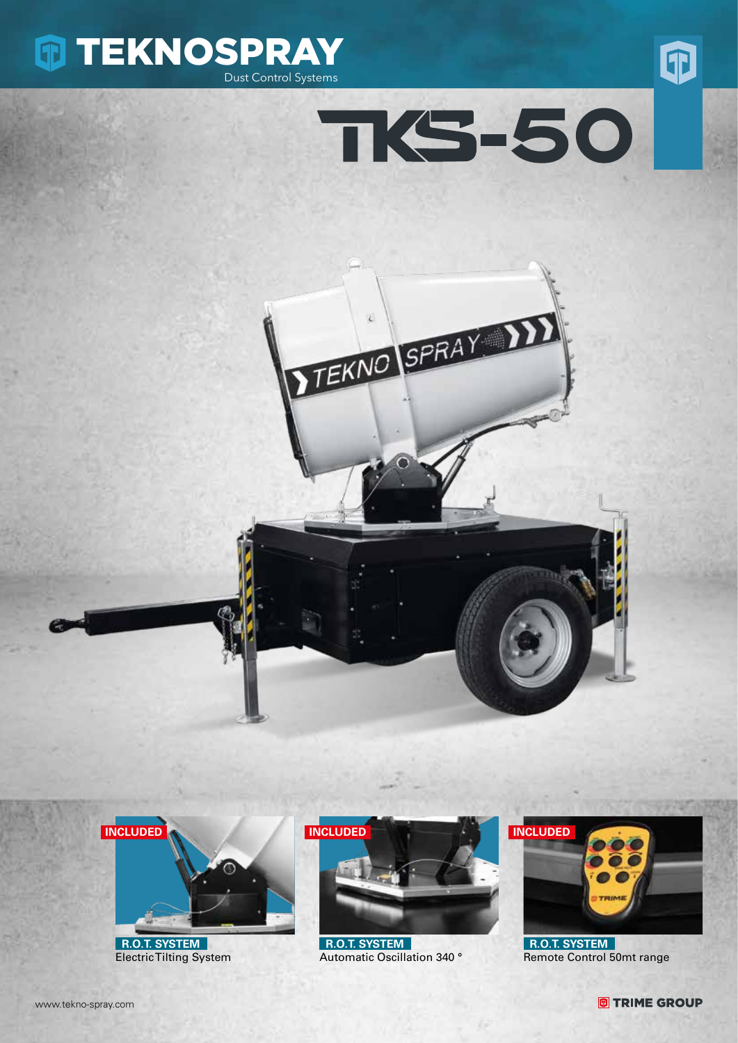









 **R.O.T. SYSTEM** Electric Tilting System



 **R.O.T. SYSTEM** Automatic Oscillation 340 °



 **R.O.T. SYSTEM** Remote Control 50mt range